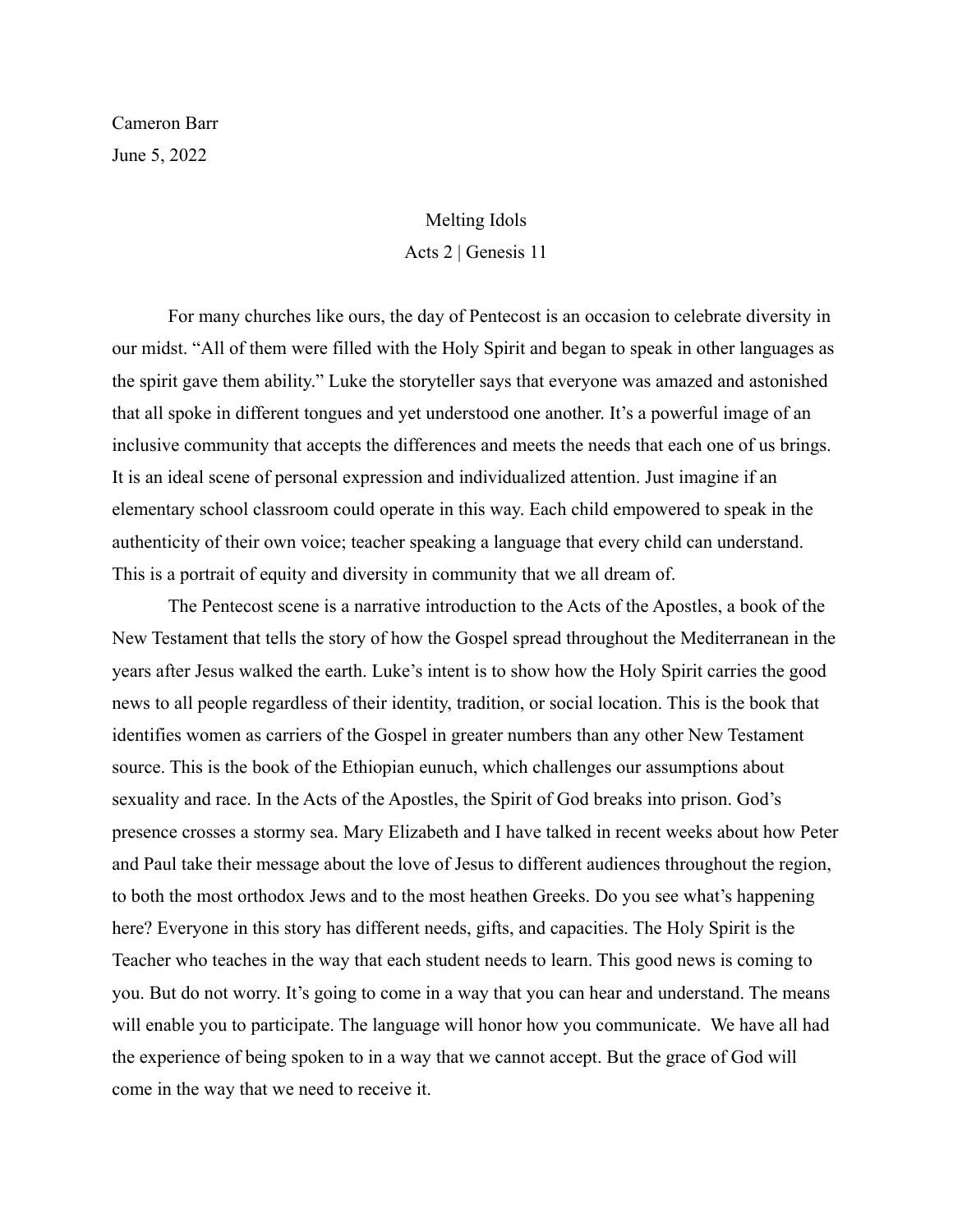Cameron Barr June 5, 2022

## Melting Idols Acts 2 | Genesis 11

For many churches like ours, the day of Pentecost is an occasion to celebrate diversity in our midst. "All of them were filled with the Holy Spirit and began to speak in other languages as the spirit gave them ability." Luke the storyteller says that everyone was amazed and astonished that all spoke in different tongues and yet understood one another. It's a powerful image of an inclusive community that accepts the differences and meets the needs that each one of us brings. It is an ideal scene of personal expression and individualized attention. Just imagine if an elementary school classroom could operate in this way. Each child empowered to speak in the authenticity of their own voice; teacher speaking a language that every child can understand. This is a portrait of equity and diversity in community that we all dream of.

The Pentecost scene is a narrative introduction to the Acts of the Apostles, a book of the New Testament that tells the story of how the Gospel spread throughout the Mediterranean in the years after Jesus walked the earth. Luke's intent is to show how the Holy Spirit carries the good news to all people regardless of their identity, tradition, or social location. This is the book that identifies women as carriers of the Gospel in greater numbers than any other New Testament source. This is the book of the Ethiopian eunuch, which challenges our assumptions about sexuality and race. In the Acts of the Apostles, the Spirit of God breaks into prison. God's presence crosses a stormy sea. Mary Elizabeth and I have talked in recent weeks about how Peter and Paul take their message about the love of Jesus to different audiences throughout the region, to both the most orthodox Jews and to the most heathen Greeks. Do you see what's happening here? Everyone in this story has different needs, gifts, and capacities. The Holy Spirit is the Teacher who teaches in the way that each student needs to learn. This good news is coming to you. But do not worry. It's going to come in a way that you can hear and understand. The means will enable you to participate. The language will honor how you communicate. We have all had the experience of being spoken to in a way that we cannot accept. But the grace of God will come in the way that we need to receive it.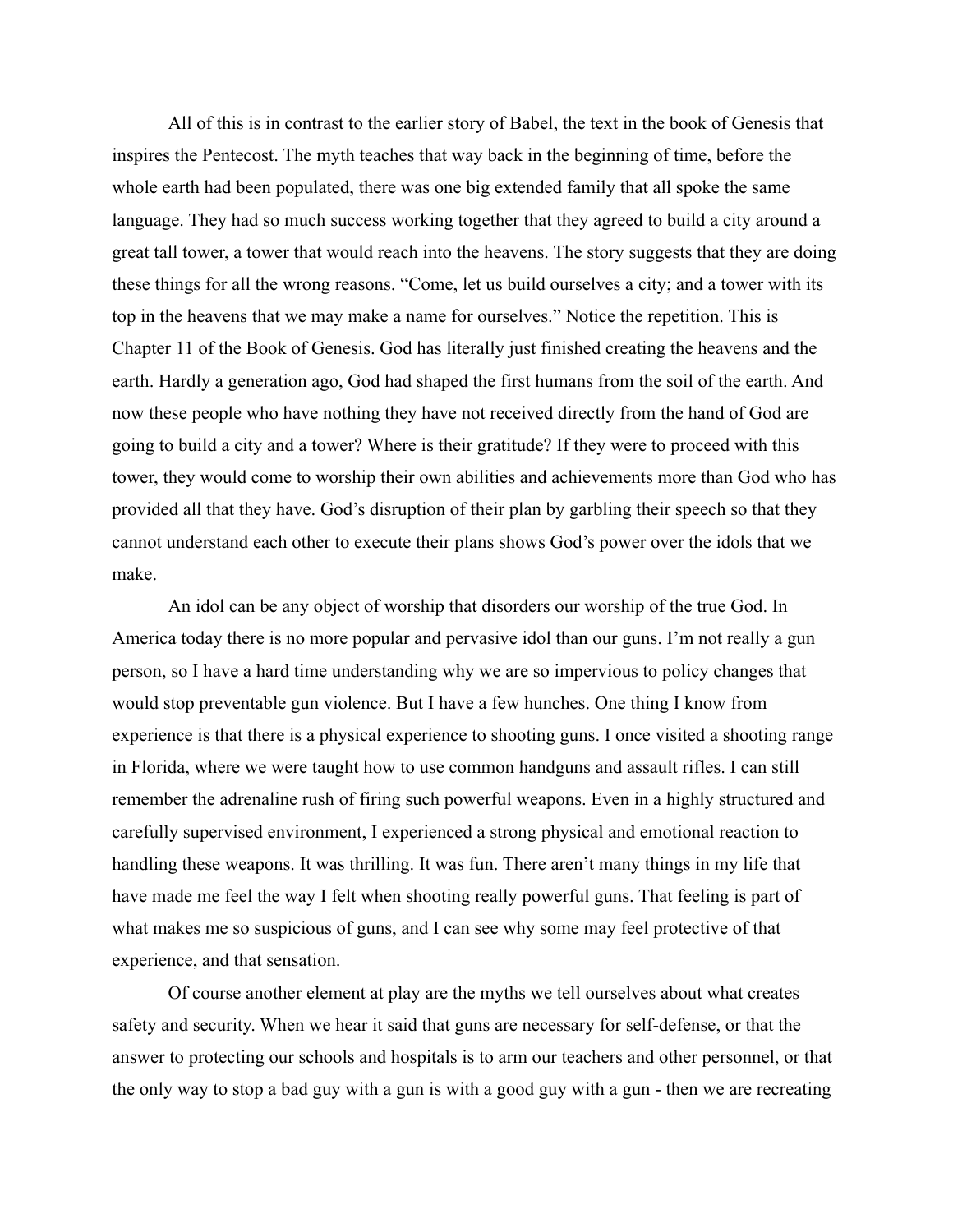All of this is in contrast to the earlier story of Babel, the text in the book of Genesis that inspires the Pentecost. The myth teaches that way back in the beginning of time, before the whole earth had been populated, there was one big extended family that all spoke the same language. They had so much success working together that they agreed to build a city around a great tall tower, a tower that would reach into the heavens. The story suggests that they are doing these things for all the wrong reasons. "Come, let us build ourselves a city; and a tower with its top in the heavens that we may make a name for ourselves." Notice the repetition. This is Chapter 11 of the Book of Genesis. God has literally just finished creating the heavens and the earth. Hardly a generation ago, God had shaped the first humans from the soil of the earth. And now these people who have nothing they have not received directly from the hand of God are going to build a city and a tower? Where is their gratitude? If they were to proceed with this tower, they would come to worship their own abilities and achievements more than God who has provided all that they have. God's disruption of their plan by garbling their speech so that they cannot understand each other to execute their plans shows God's power over the idols that we make.

An idol can be any object of worship that disorders our worship of the true God. In America today there is no more popular and pervasive idol than our guns. I'm not really a gun person, so I have a hard time understanding why we are so impervious to policy changes that would stop preventable gun violence. But I have a few hunches. One thing I know from experience is that there is a physical experience to shooting guns. I once visited a shooting range in Florida, where we were taught how to use common handguns and assault rifles. I can still remember the adrenaline rush of firing such powerful weapons. Even in a highly structured and carefully supervised environment, I experienced a strong physical and emotional reaction to handling these weapons. It was thrilling. It was fun. There aren't many things in my life that have made me feel the way I felt when shooting really powerful guns. That feeling is part of what makes me so suspicious of guns, and I can see why some may feel protective of that experience, and that sensation.

Of course another element at play are the myths we tell ourselves about what creates safety and security. When we hear it said that guns are necessary for self-defense, or that the answer to protecting our schools and hospitals is to arm our teachers and other personnel, or that the only way to stop a bad guy with a gun is with a good guy with a gun - then we are recreating